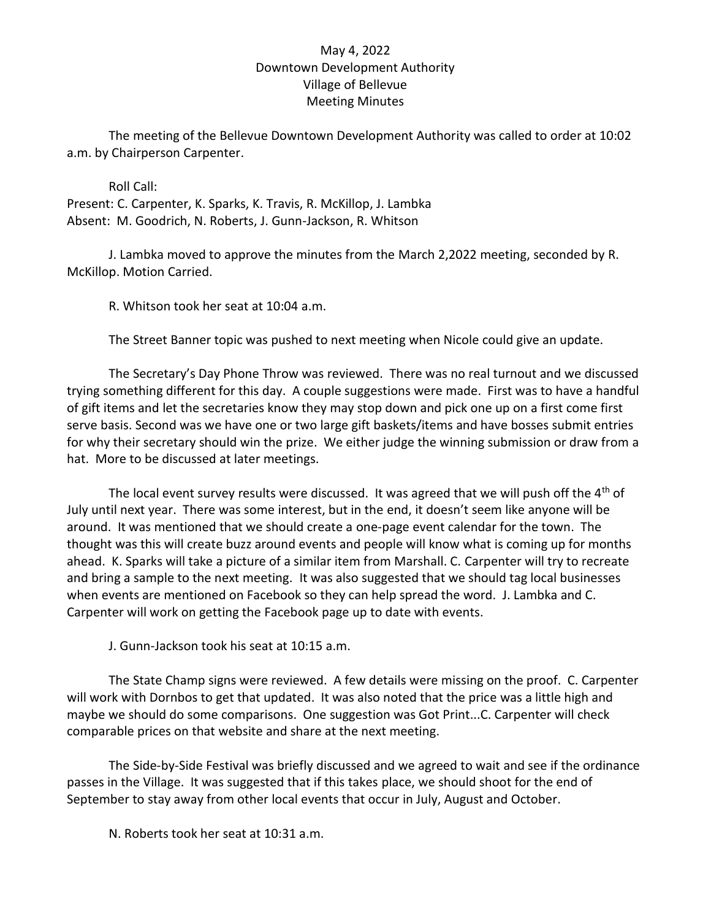## May 4, 2022 Downtown Development Authority Village of Bellevue Meeting Minutes

The meeting of the Bellevue Downtown Development Authority was called to order at 10:02 a.m. by Chairperson Carpenter.

 Roll Call: Present: C. Carpenter, K. Sparks, K. Travis, R. McKillop, J. Lambka Absent: M. Goodrich, N. Roberts, J. Gunn-Jackson, R. Whitson

 J. Lambka moved to approve the minutes from the March 2,2022 meeting, seconded by R. McKillop. Motion Carried.

R. Whitson took her seat at 10:04 a.m.

The Street Banner topic was pushed to next meeting when Nicole could give an update.

The Secretary's Day Phone Throw was reviewed. There was no real turnout and we discussed trying something different for this day. A couple suggestions were made. First was to have a handful of gift items and let the secretaries know they may stop down and pick one up on a first come first serve basis. Second was we have one or two large gift baskets/items and have bosses submit entries for why their secretary should win the prize. We either judge the winning submission or draw from a hat. More to be discussed at later meetings.

The local event survey results were discussed. It was agreed that we will push off the  $4<sup>th</sup>$  of July until next year. There was some interest, but in the end, it doesn't seem like anyone will be around. It was mentioned that we should create a one-page event calendar for the town. The thought was this will create buzz around events and people will know what is coming up for months ahead. K. Sparks will take a picture of a similar item from Marshall. C. Carpenter will try to recreate and bring a sample to the next meeting. It was also suggested that we should tag local businesses when events are mentioned on Facebook so they can help spread the word. J. Lambka and C. Carpenter will work on getting the Facebook page up to date with events.

J. Gunn-Jackson took his seat at 10:15 a.m.

The State Champ signs were reviewed. A few details were missing on the proof. C. Carpenter will work with Dornbos to get that updated. It was also noted that the price was a little high and maybe we should do some comparisons. One suggestion was Got Print...C. Carpenter will check comparable prices on that website and share at the next meeting.

The Side-by-Side Festival was briefly discussed and we agreed to wait and see if the ordinance passes in the Village. It was suggested that if this takes place, we should shoot for the end of September to stay away from other local events that occur in July, August and October.

N. Roberts took her seat at 10:31 a.m.